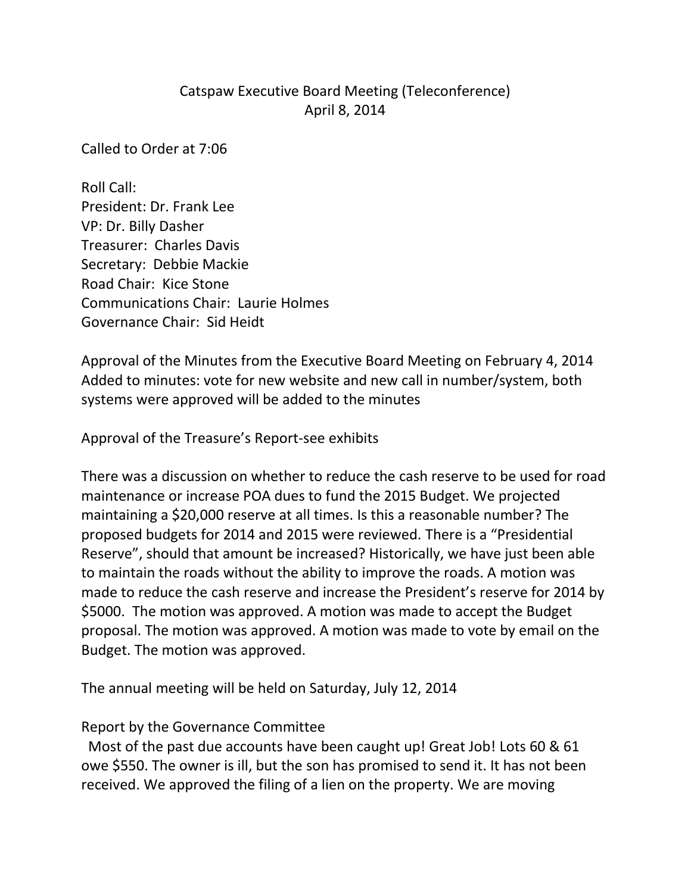## Catspaw Executive Board Meeting (Teleconference) April 8, 2014

Called to Order at 7:06

Roll Call: President: Dr. Frank Lee VP: Dr. Billy Dasher Treasurer: Charles Davis Secretary: Debbie Mackie Road Chair: Kice Stone Communications Chair: Laurie Holmes Governance Chair: Sid Heidt

Approval of the Minutes from the Executive Board Meeting on February 4, 2014 Added to minutes: vote for new website and new call in number/system, both systems were approved will be added to the minutes

Approval of the Treasure's Report-see exhibits

There was a discussion on whether to reduce the cash reserve to be used for road maintenance or increase POA dues to fund the 2015 Budget. We projected maintaining a \$20,000 reserve at all times. Is this a reasonable number? The proposed budgets for 2014 and 2015 were reviewed. There is a "Presidential Reserve", should that amount be increased? Historically, we have just been able to maintain the roads without the ability to improve the roads. A motion was made to reduce the cash reserve and increase the President's reserve for 2014 by \$5000. The motion was approved. A motion was made to accept the Budget proposal. The motion was approved. A motion was made to vote by email on the Budget. The motion was approved.

The annual meeting will be held on Saturday, July 12, 2014

## Report by the Governance Committee

Most of the past due accounts have been caught up! Great Job! Lots 60 & 61 owe \$550. The owner is ill, but the son has promised to send it. It has not been received. We approved the filing of a lien on the property. We are moving